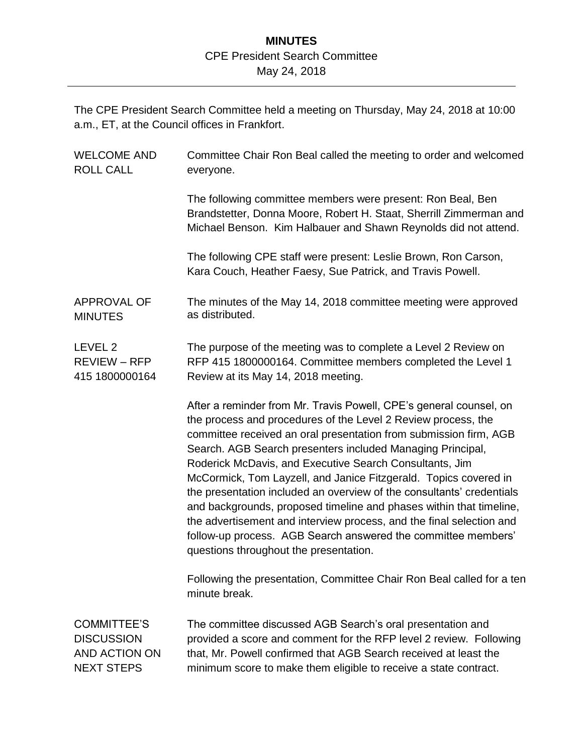## **MINUTES** CPE President Search Committee May 24, 2018

The CPE President Search Committee held a meeting on Thursday, May 24, 2018 at 10:00 a.m., ET, at the Council offices in Frankfort.

| <b>WELCOME AND</b>  | Committee Chair Ron Beal called the meeting to order and welcomed                                                                                                                                                                                                                                                                                                                                                                                                                                                                                                                                                                                                                                                                        |
|---------------------|------------------------------------------------------------------------------------------------------------------------------------------------------------------------------------------------------------------------------------------------------------------------------------------------------------------------------------------------------------------------------------------------------------------------------------------------------------------------------------------------------------------------------------------------------------------------------------------------------------------------------------------------------------------------------------------------------------------------------------------|
| <b>ROLL CALL</b>    | everyone.                                                                                                                                                                                                                                                                                                                                                                                                                                                                                                                                                                                                                                                                                                                                |
|                     | The following committee members were present: Ron Beal, Ben<br>Brandstetter, Donna Moore, Robert H. Staat, Sherrill Zimmerman and<br>Michael Benson. Kim Halbauer and Shawn Reynolds did not attend.                                                                                                                                                                                                                                                                                                                                                                                                                                                                                                                                     |
|                     | The following CPE staff were present: Leslie Brown, Ron Carson,<br>Kara Couch, Heather Faesy, Sue Patrick, and Travis Powell.                                                                                                                                                                                                                                                                                                                                                                                                                                                                                                                                                                                                            |
| <b>APPROVAL OF</b>  | The minutes of the May 14, 2018 committee meeting were approved                                                                                                                                                                                                                                                                                                                                                                                                                                                                                                                                                                                                                                                                          |
| <b>MINUTES</b>      | as distributed.                                                                                                                                                                                                                                                                                                                                                                                                                                                                                                                                                                                                                                                                                                                          |
| LEVEL 2             | The purpose of the meeting was to complete a Level 2 Review on                                                                                                                                                                                                                                                                                                                                                                                                                                                                                                                                                                                                                                                                           |
| <b>REVIEW - RFP</b> | RFP 415 1800000164. Committee members completed the Level 1                                                                                                                                                                                                                                                                                                                                                                                                                                                                                                                                                                                                                                                                              |
| 415 1800000164      | Review at its May 14, 2018 meeting.                                                                                                                                                                                                                                                                                                                                                                                                                                                                                                                                                                                                                                                                                                      |
|                     | After a reminder from Mr. Travis Powell, CPE's general counsel, on<br>the process and procedures of the Level 2 Review process, the<br>committee received an oral presentation from submission firm, AGB<br>Search. AGB Search presenters included Managing Principal,<br>Roderick McDavis, and Executive Search Consultants, Jim<br>McCormick, Tom Layzell, and Janice Fitzgerald. Topics covered in<br>the presentation included an overview of the consultants' credentials<br>and backgrounds, proposed timeline and phases within that timeline,<br>the advertisement and interview process, and the final selection and<br>follow-up process. AGB Search answered the committee members'<br>questions throughout the presentation. |
|                     | Following the presentation, Committee Chair Ron Beal called for a ten<br>minute break.                                                                                                                                                                                                                                                                                                                                                                                                                                                                                                                                                                                                                                                   |
| <b>COMMITTEE'S</b>  | The committee discussed AGB Search's oral presentation and                                                                                                                                                                                                                                                                                                                                                                                                                                                                                                                                                                                                                                                                               |
| <b>DISCUSSION</b>   | provided a score and comment for the RFP level 2 review. Following                                                                                                                                                                                                                                                                                                                                                                                                                                                                                                                                                                                                                                                                       |
| AND ACTION ON       | that, Mr. Powell confirmed that AGB Search received at least the                                                                                                                                                                                                                                                                                                                                                                                                                                                                                                                                                                                                                                                                         |
| <b>NEXT STEPS</b>   | minimum score to make them eligible to receive a state contract.                                                                                                                                                                                                                                                                                                                                                                                                                                                                                                                                                                                                                                                                         |